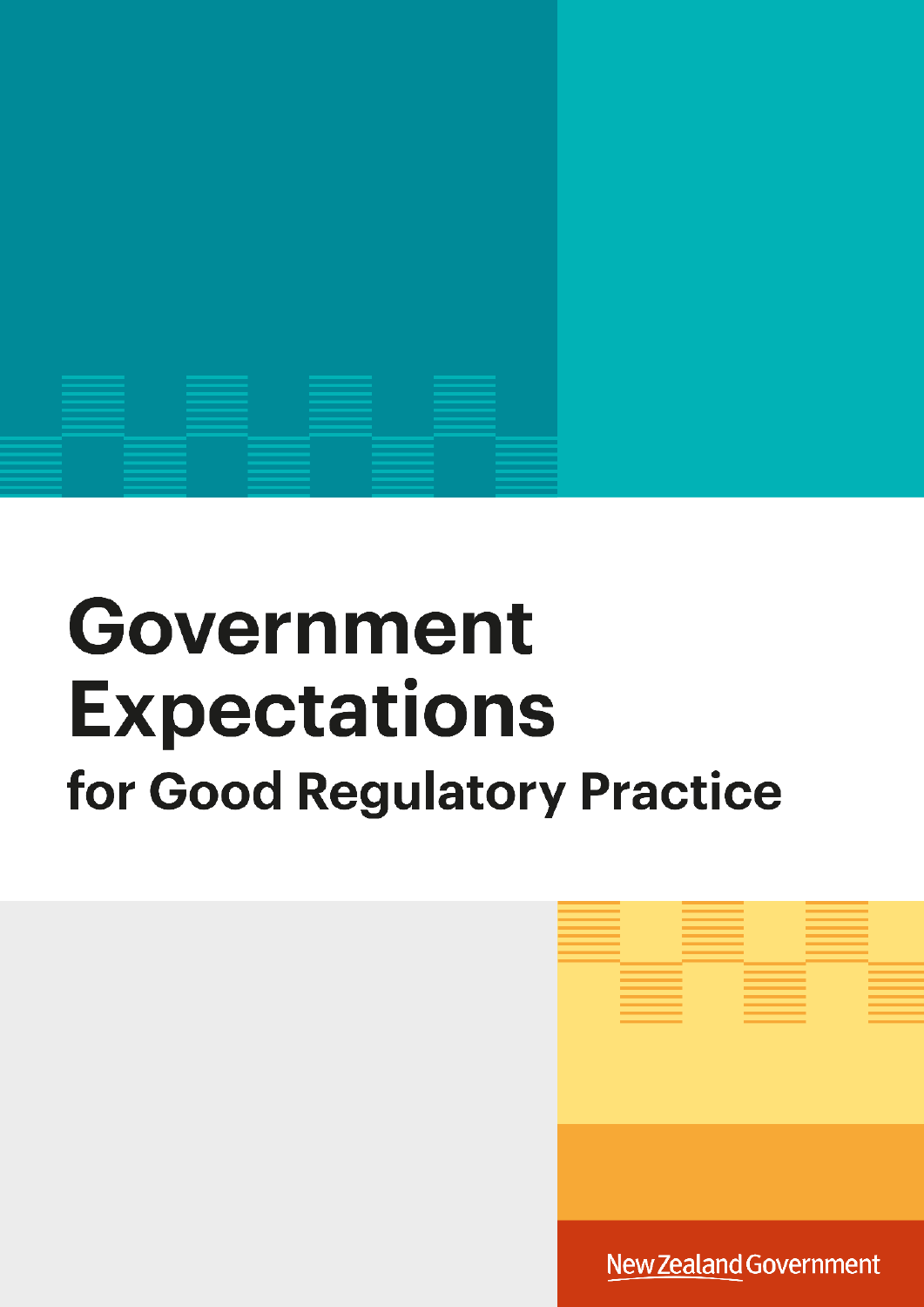

# Government **Expectations** for Good Regulatory Practice



New Zealand Government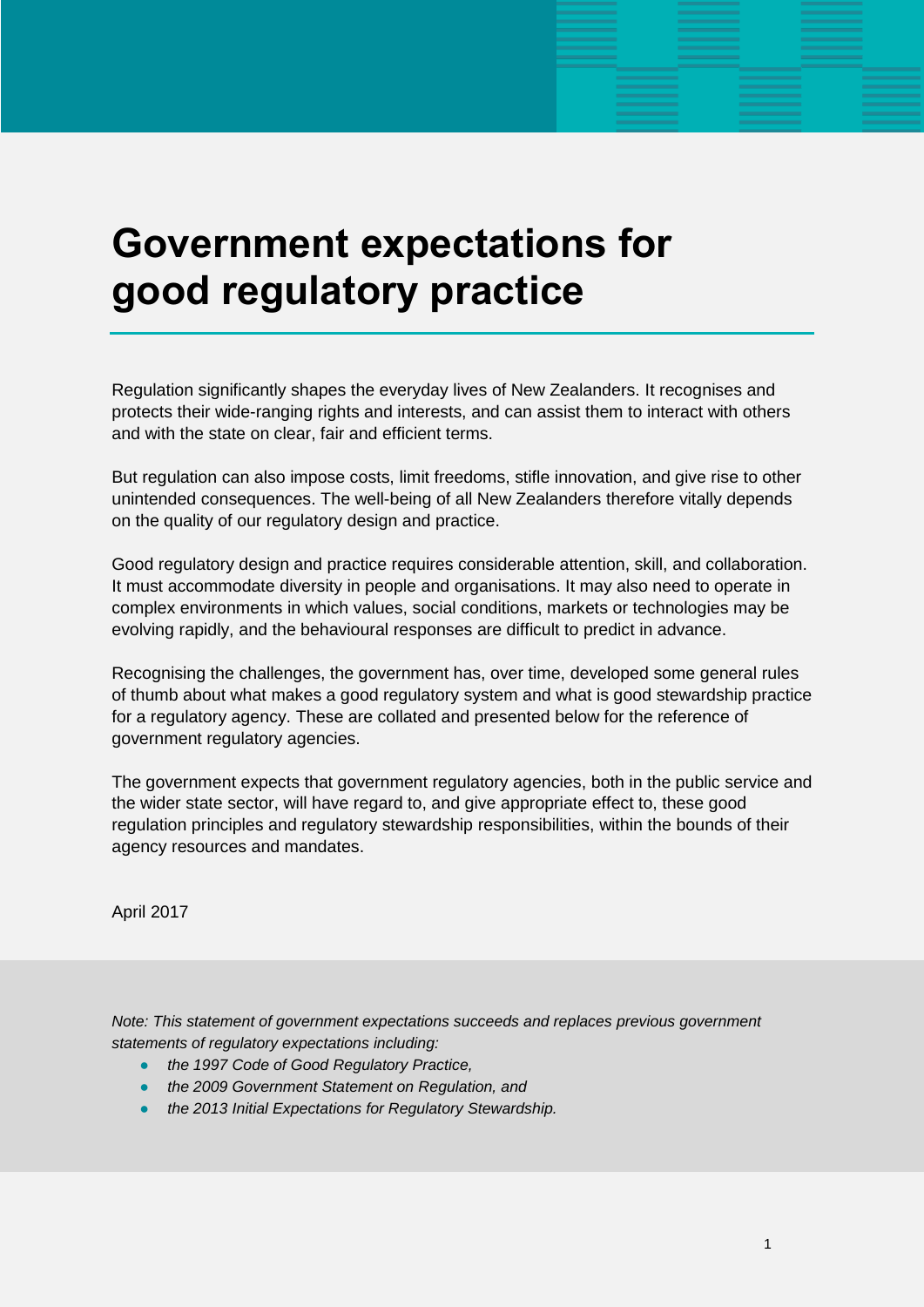# **Government expectations for good regulatory practice**

Regulation significantly shapes the everyday lives of New Zealanders. It recognises and protects their wide-ranging rights and interests, and can assist them to interact with others and with the state on clear, fair and efficient terms.

But regulation can also impose costs, limit freedoms, stifle innovation, and give rise to other unintended consequences. The well-being of all New Zealanders therefore vitally depends on the quality of our regulatory design and practice.

Good regulatory design and practice requires considerable attention, skill, and collaboration. It must accommodate diversity in people and organisations. It may also need to operate in complex environments in which values, social conditions, markets or technologies may be evolving rapidly, and the behavioural responses are difficult to predict in advance.

Recognising the challenges, the government has, over time, developed some general rules of thumb about what makes a good regulatory system and what is good stewardship practice for a regulatory agency. These are collated and presented below for the reference of government regulatory agencies.

The government expects that government regulatory agencies, both in the public service and the wider state sector, will have regard to, and give appropriate effect to, these good regulation principles and regulatory stewardship responsibilities, within the bounds of their agency resources and mandates.

April 2017

*Note: This statement of government expectations succeeds and replaces previous government statements of regulatory expectations including:* 

- *the 1997 Code of Good Regulatory Practice,*
- *the 2009 Government Statement on Regulation, and*
- *the 2013 Initial Expectations for Regulatory Stewardship.*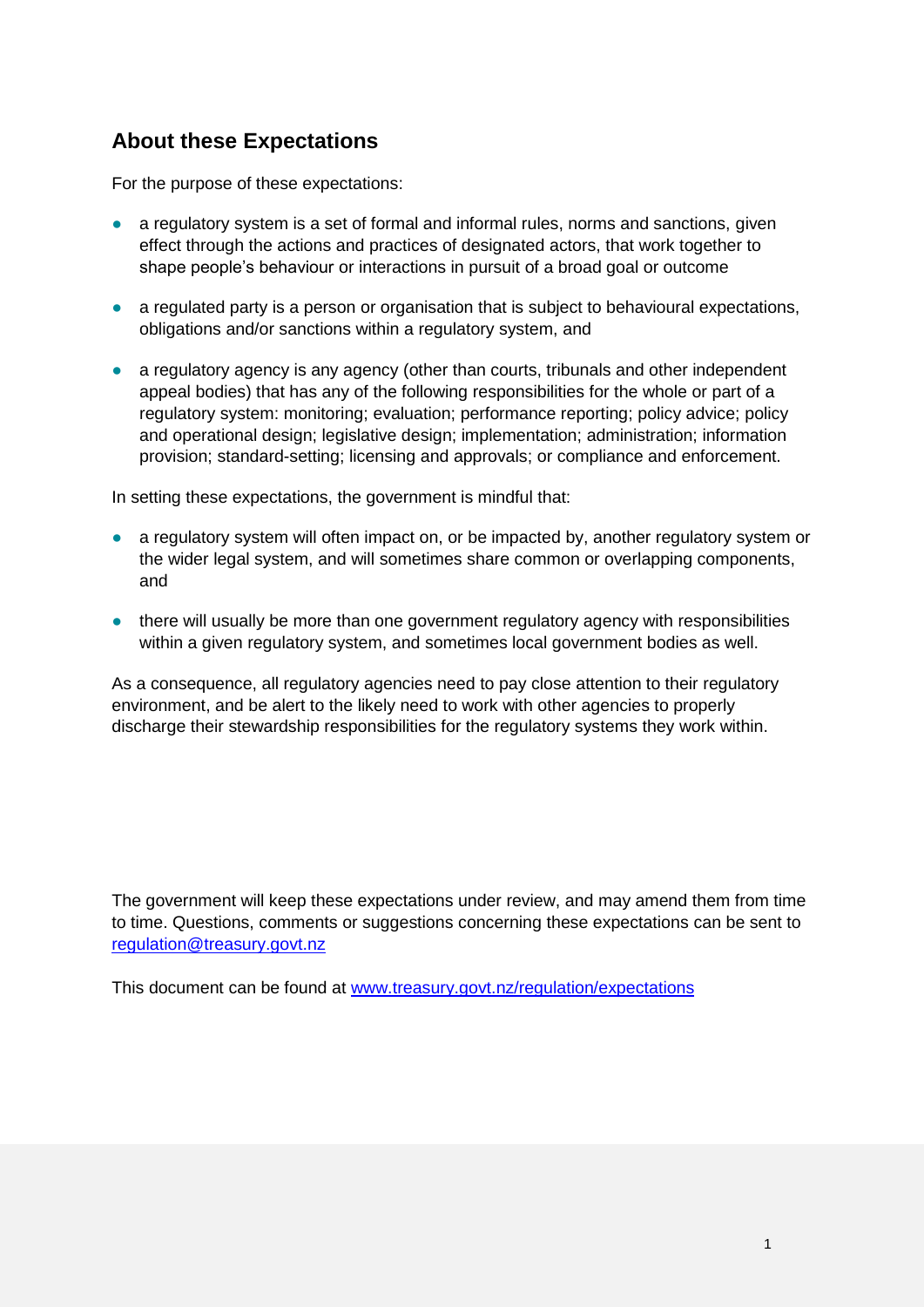# **About these Expectations**

For the purpose of these expectations:

- a regulatory system is a set of formal and informal rules, norms and sanctions, given effect through the actions and practices of designated actors, that work together to shape people's behaviour or interactions in pursuit of a broad goal or outcome
- a regulated party is a person or organisation that is subject to behavioural expectations, obligations and/or sanctions within a regulatory system, and
- a regulatory agency is any agency (other than courts, tribunals and other independent appeal bodies) that has any of the following responsibilities for the whole or part of a regulatory system: monitoring; evaluation; performance reporting; policy advice; policy and operational design; legislative design; implementation; administration; information provision; standard-setting; licensing and approvals; or compliance and enforcement.

In setting these expectations, the government is mindful that:

- a regulatory system will often impact on, or be impacted by, another regulatory system or the wider legal system, and will sometimes share common or overlapping components, and
- there will usually be more than one government regulatory agency with responsibilities within a given regulatory system, and sometimes local government bodies as well.

As a consequence, all regulatory agencies need to pay close attention to their regulatory environment, and be alert to the likely need to work with other agencies to properly discharge their stewardship responsibilities for the regulatory systems they work within.

The government will keep these expectations under review, and may amend them from time to time. Questions, comments or suggestions concerning these expectations can be sent to [regulation@treasury.govt.nz](mailto:regulation@treasury.govt.nz)

This document can be found at [www.treasury.govt.nz/regulation/expectations](http://www.treasury.govt.nz/regulation/expectations)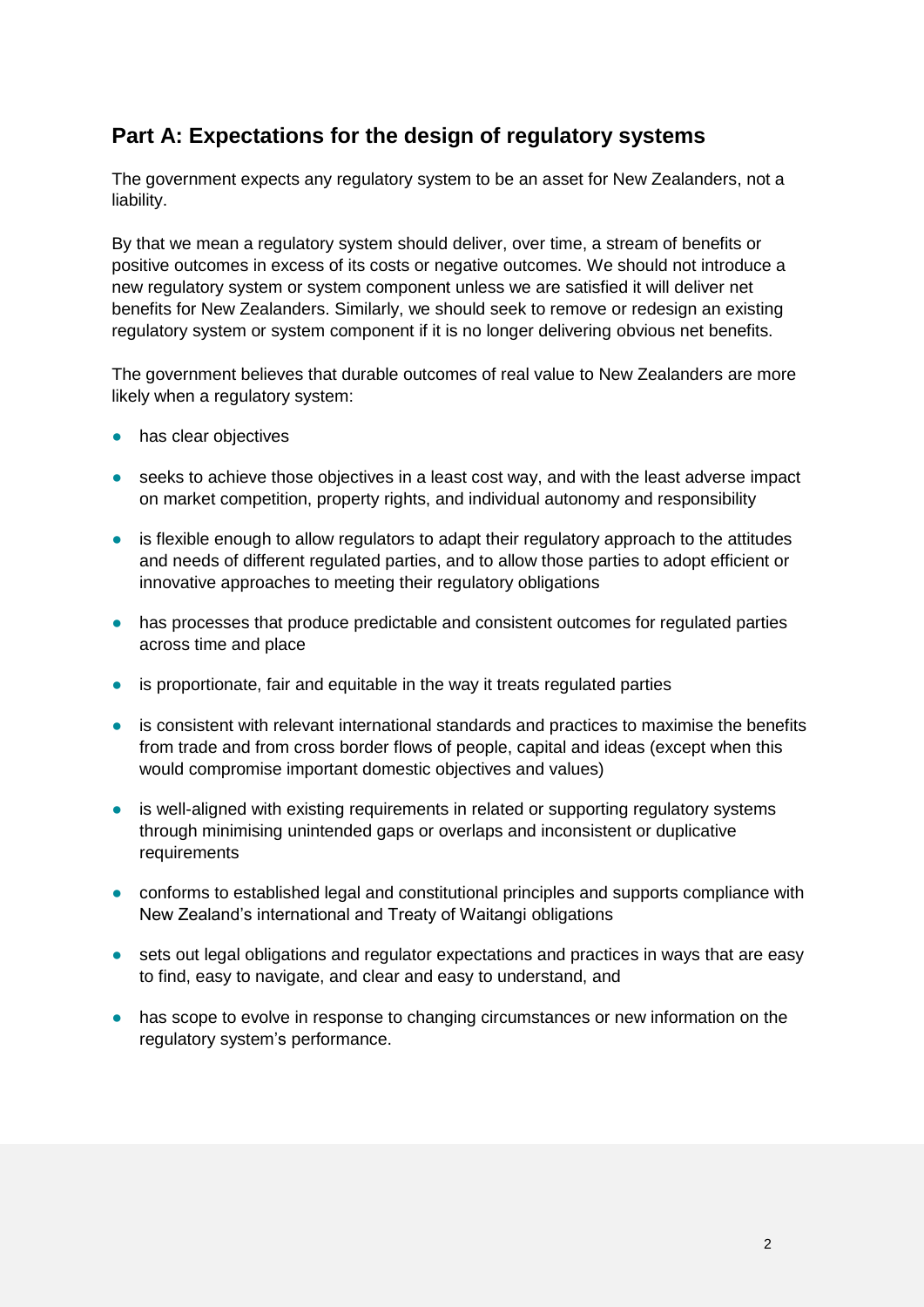## **Part A: Expectations for the design of regulatory systems**

The government expects any regulatory system to be an asset for New Zealanders, not a liability.

By that we mean a regulatory system should deliver, over time, a stream of benefits or positive outcomes in excess of its costs or negative outcomes. We should not introduce a new regulatory system or system component unless we are satisfied it will deliver net benefits for New Zealanders. Similarly, we should seek to remove or redesign an existing regulatory system or system component if it is no longer delivering obvious net benefits.

The government believes that durable outcomes of real value to New Zealanders are more likely when a regulatory system:

- has clear objectives
- seeks to achieve those objectives in a least cost way, and with the least adverse impact on market competition, property rights, and individual autonomy and responsibility
- is flexible enough to allow regulators to adapt their regulatory approach to the attitudes and needs of different regulated parties, and to allow those parties to adopt efficient or innovative approaches to meeting their regulatory obligations
- has processes that produce predictable and consistent outcomes for regulated parties across time and place
- is proportionate, fair and equitable in the way it treats regulated parties
- is consistent with relevant international standards and practices to maximise the benefits from trade and from cross border flows of people, capital and ideas (except when this would compromise important domestic objectives and values)
- is well-aligned with existing requirements in related or supporting regulatory systems through minimising unintended gaps or overlaps and inconsistent or duplicative requirements
- conforms to established legal and constitutional principles and supports compliance with New Zealand's international and Treaty of Waitangi obligations
- sets out legal obligations and regulator expectations and practices in ways that are easy to find, easy to navigate, and clear and easy to understand, and
- has scope to evolve in response to changing circumstances or new information on the regulatory system's performance.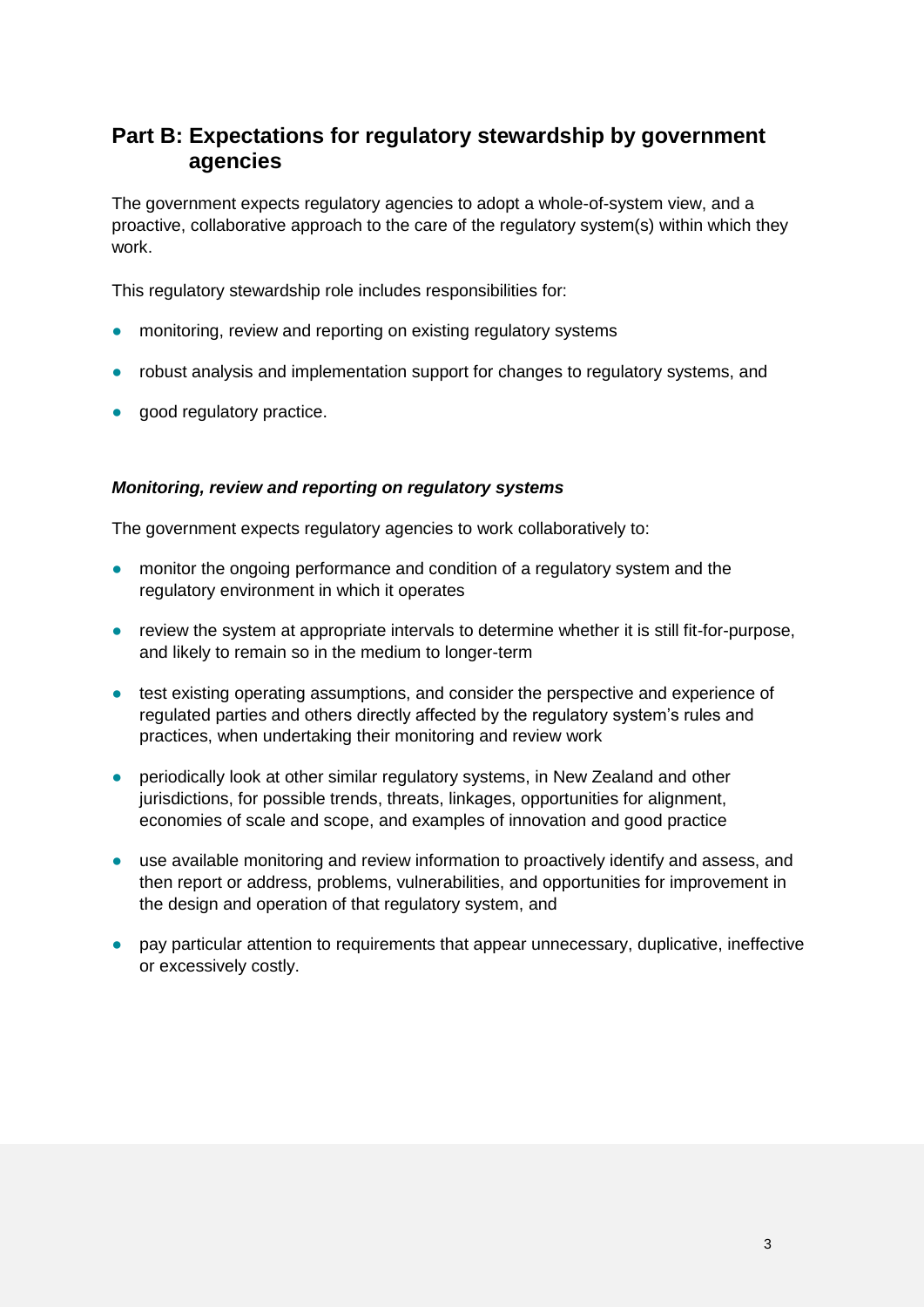## **Part B: Expectations for regulatory stewardship by government agencies**

The government expects regulatory agencies to adopt a whole-of-system view, and a proactive, collaborative approach to the care of the regulatory system(s) within which they work.

This regulatory stewardship role includes responsibilities for:

- monitoring, review and reporting on existing regulatory systems
- robust analysis and implementation support for changes to regulatory systems, and
- good regulatory practice.

#### *Monitoring, review and reporting on regulatory systems*

The government expects regulatory agencies to work collaboratively to:

- monitor the ongoing performance and condition of a regulatory system and the regulatory environment in which it operates
- review the system at appropriate intervals to determine whether it is still fit-for-purpose, and likely to remain so in the medium to longer-term
- test existing operating assumptions, and consider the perspective and experience of regulated parties and others directly affected by the regulatory system's rules and practices, when undertaking their monitoring and review work
- periodically look at other similar regulatory systems, in New Zealand and other jurisdictions, for possible trends, threats, linkages, opportunities for alignment, economies of scale and scope, and examples of innovation and good practice
- use available monitoring and review information to proactively identify and assess, and then report or address, problems, vulnerabilities, and opportunities for improvement in the design and operation of that regulatory system, and
- pay particular attention to requirements that appear unnecessary, duplicative, ineffective or excessively costly.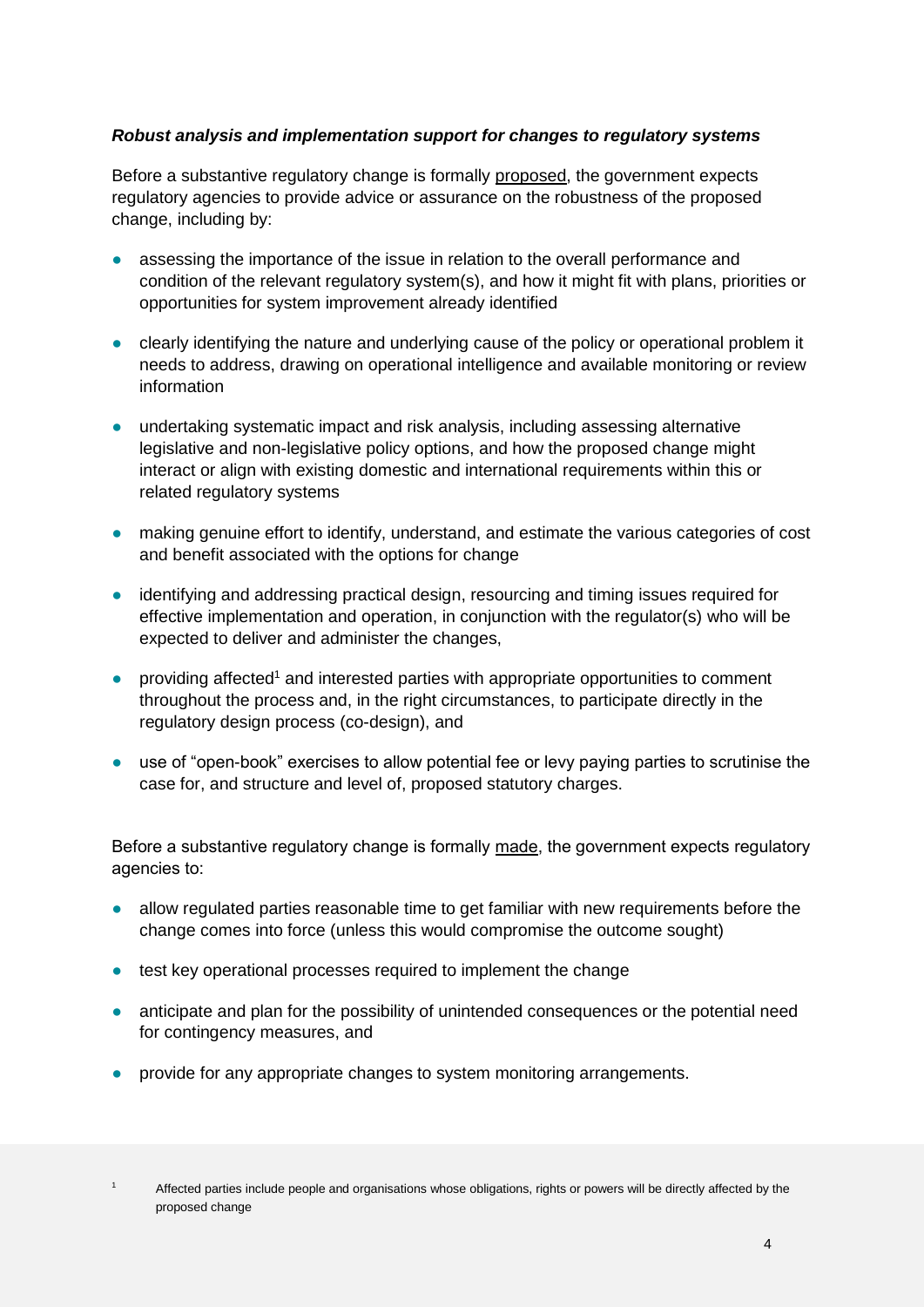#### *Robust analysis and implementation support for changes to regulatory systems*

Before a substantive regulatory change is formally proposed, the government expects regulatory agencies to provide advice or assurance on the robustness of the proposed change, including by:

- assessing the importance of the issue in relation to the overall performance and condition of the relevant regulatory system(s), and how it might fit with plans, priorities or opportunities for system improvement already identified
- clearly identifying the nature and underlying cause of the policy or operational problem it needs to address, drawing on operational intelligence and available monitoring or review information
- undertaking systematic impact and risk analysis, including assessing alternative legislative and non-legislative policy options, and how the proposed change might interact or align with existing domestic and international requirements within this or related regulatory systems
- making genuine effort to identify, understand, and estimate the various categories of cost and benefit associated with the options for change
- identifying and addressing practical design, resourcing and timing issues required for effective implementation and operation, in conjunction with the regulator(s) who will be expected to deliver and administer the changes,
- providing affected<sup>1</sup> and interested parties with appropriate opportunities to comment throughout the process and, in the right circumstances, to participate directly in the regulatory design process (co-design), and
- use of "open-book" exercises to allow potential fee or levy paying parties to scrutinise the case for, and structure and level of, proposed statutory charges.

Before a substantive regulatory change is formally made, the government expects regulatory agencies to:

- allow regulated parties reasonable time to get familiar with new requirements before the change comes into force (unless this would compromise the outcome sought)
- test key operational processes required to implement the change
- anticipate and plan for the possibility of unintended consequences or the potential need for contingency measures, and
- provide for any appropriate changes to system monitoring arrangements.

Affected parties include people and organisations whose obligations, rights or powers will be directly affected by the proposed change